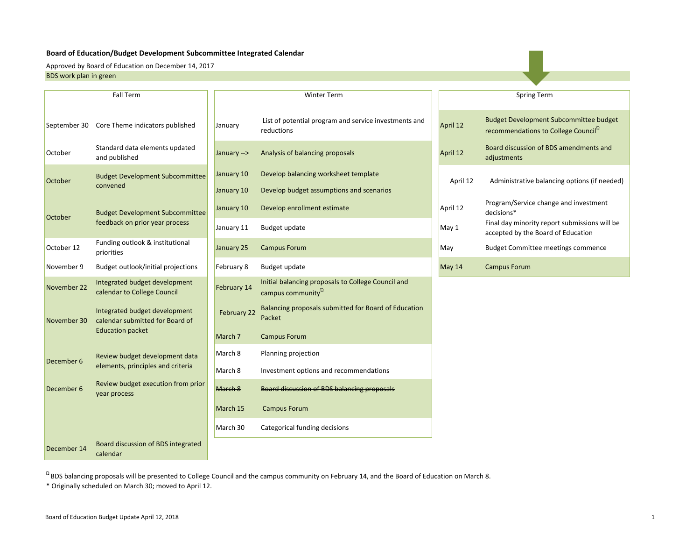#### **Board of Education/Budget Development Subcommittee Integrated Calendar**

BDS work plan in green Approved by Board of Education on December 14, 2017

|              | <b>Fall Term</b>                                                 |                          | <b>Winter Term</b>                                                                   |          | <b>Spring Term</b>                                                                                |
|--------------|------------------------------------------------------------------|--------------------------|--------------------------------------------------------------------------------------|----------|---------------------------------------------------------------------------------------------------|
| September 30 | Core Theme indicators published                                  | January                  | List of potential program and service investments and<br>reductions                  | April 12 | <b>Budget Development Subcommittee budget</b><br>recommendations to College Council <sup>12</sup> |
| October      | Standard data elements updated<br>and published                  | January -->              | Analysis of balancing proposals                                                      | April 12 | Board discussion of BDS amendments and<br>adjustments                                             |
| October      | <b>Budget Development Subcommittee</b><br>convened               | January 10<br>January 10 | Develop balancing worksheet template<br>Develop budget assumptions and scenarios     | April 12 | Administrative balancing options (if neede                                                        |
|              | <b>Budget Development Subcommittee</b>                           | January 10               | Develop enrollment estimate                                                          | April 12 | Program/Service change and investment<br>decisions*                                               |
|              | October<br>feedback on prior year process                        |                          | Budget update                                                                        | May 1    | Final day minority report submissions will be<br>accepted by the Board of Education               |
| October 12   | Funding outlook & institutional<br>priorities                    | January 25               | <b>Campus Forum</b>                                                                  | May      | <b>Budget Committee meetings commence</b>                                                         |
| November 9   | Budget outlook/initial projections                               | February 8               | Budget update                                                                        | May 14   | <b>Campus Forum</b>                                                                               |
| November 22  | Integrated budget development<br>calendar to College Council     | February 14              | Initial balancing proposals to College Council and<br>campus community <sup>12</sup> |          |                                                                                                   |
| November 30  | Integrated budget development<br>calendar submitted for Board of | February 22              | Balancing proposals submitted for Board of Education<br>Packet                       |          |                                                                                                   |
|              | <b>Education packet</b>                                          | March <sub>7</sub>       | <b>Campus Forum</b>                                                                  |          |                                                                                                   |
| December 6   | Review budget development data                                   | March 8                  | Planning projection                                                                  |          |                                                                                                   |
|              | elements, principles and criteria                                | March 8                  | Investment options and recommendations                                               |          |                                                                                                   |
| December 6   | Review budget execution from prior<br>year process               | March 8                  | <b>Board discussion of BDS balancing proposals</b>                                   |          |                                                                                                   |
|              |                                                                  | March 15                 | <b>Campus Forum</b>                                                                  |          |                                                                                                   |
|              |                                                                  | March 30                 | Categorical funding decisions                                                        |          |                                                                                                   |
| December 14  | Board discussion of BDS integrated<br>calendar                   |                          |                                                                                      |          |                                                                                                   |

Program/Service change and investment decisions\* Final day minority report submissions will be<br>accepted by the Board of Education Budget Committee meetings commence Administrative balancing options (if needed) Spring Term

 $\Omega$ BDS balancing proposals will be presented to College Council and the campus community on February 14, and the Board of Education on March 8.

\* Originally scheduled on March 30; moved to April 12.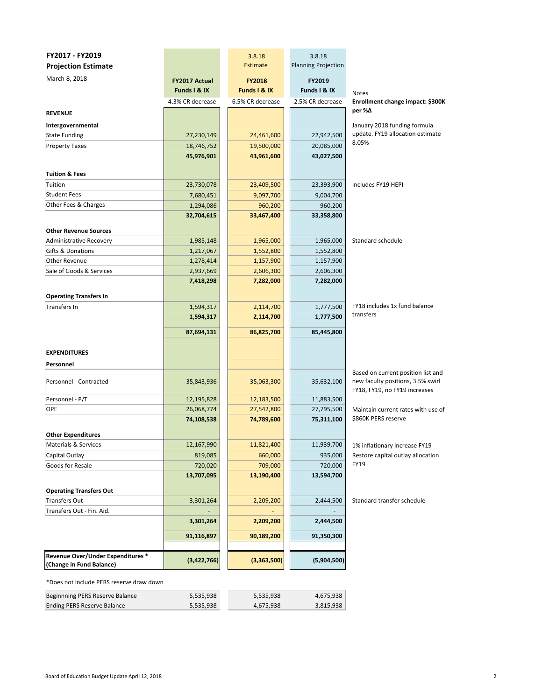| FY2017 - FY2019                                               |                                      | 3.8.18                        | 3.8.18                     |                                                                                                          |
|---------------------------------------------------------------|--------------------------------------|-------------------------------|----------------------------|----------------------------------------------------------------------------------------------------------|
| <b>Projection Estimate</b>                                    |                                      | Estimate                      | <b>Planning Projection</b> |                                                                                                          |
| March 8, 2018                                                 | <b>FY2017 Actual</b><br>Funds I & IX | <b>FY2018</b><br>Funds I & IX | FY2019<br>Funds I & IX     |                                                                                                          |
|                                                               | 4.3% CR decrease                     | 6.5% CR decrease              | 2.5% CR decrease           | <b>Notes</b><br>Enrollment change impact: \$300K                                                         |
| <b>REVENUE</b>                                                |                                      |                               |                            | per %∆                                                                                                   |
|                                                               |                                      |                               |                            | January 2018 funding formula                                                                             |
| Intergovernmental<br><b>State Funding</b>                     | 27,230,149                           | 24,461,600                    | 22,942,500                 | update. FY19 allocation estimate                                                                         |
| <b>Property Taxes</b>                                         | 18,746,752                           | 19,500,000                    | 20,085,000                 | 8.05%                                                                                                    |
|                                                               | 45,976,901                           | 43,961,600                    | 43,027,500                 |                                                                                                          |
|                                                               |                                      |                               |                            |                                                                                                          |
| <b>Tuition &amp; Fees</b>                                     |                                      |                               |                            |                                                                                                          |
| Tuition                                                       | 23,730,078                           | 23,409,500                    | 23,393,900                 | Includes FY19 HEPI                                                                                       |
| <b>Student Fees</b>                                           | 7,680,451                            | 9,097,700                     | 9,004,700                  |                                                                                                          |
| Other Fees & Charges                                          | 1,294,086                            | 960,200                       | 960,200                    |                                                                                                          |
|                                                               | 32,704,615                           | 33,467,400                    | 33,358,800                 |                                                                                                          |
|                                                               |                                      |                               |                            |                                                                                                          |
| <b>Other Revenue Sources</b>                                  |                                      |                               |                            |                                                                                                          |
| <b>Administrative Recovery</b>                                | 1,985,148                            | 1,965,000                     | 1,965,000                  | Standard schedule                                                                                        |
| Gifts & Donations                                             | 1,217,067                            | 1,552,800                     | 1,552,800                  |                                                                                                          |
| Other Revenue                                                 | 1,278,414                            | 1,157,900                     | 1,157,900                  |                                                                                                          |
| Sale of Goods & Services                                      | 2,937,669                            | 2,606,300                     | 2,606,300                  |                                                                                                          |
|                                                               | 7,418,298                            | 7,282,000                     | 7,282,000                  |                                                                                                          |
| <b>Operating Transfers In</b>                                 |                                      |                               |                            |                                                                                                          |
| <b>Transfers In</b>                                           | 1,594,317                            | 2,114,700                     | 1,777,500                  | FY18 includes 1x fund balance                                                                            |
|                                                               | 1,594,317                            | 2,114,700                     | 1,777,500                  | transfers                                                                                                |
|                                                               |                                      |                               |                            |                                                                                                          |
|                                                               | 87,694,131                           | 86,825,700                    | 85,445,800                 |                                                                                                          |
|                                                               |                                      |                               |                            |                                                                                                          |
| <b>EXPENDITURES</b>                                           |                                      |                               |                            |                                                                                                          |
| Personnel                                                     |                                      |                               |                            |                                                                                                          |
| Personnel - Contracted                                        | 35,843,936                           | 35,063,300                    | 35,632,100                 | Based on current position list and<br>new faculty positions, 3.5% swirl<br>FY18, FY19, no FY19 increases |
| Personnel - P/T                                               | 12,195,828                           | 12,183,500                    | 11,883,500                 |                                                                                                          |
| <b>OPE</b>                                                    | 26,068,774                           | 27,542,800                    | 27,795,500                 | Maintain current rates with use of                                                                       |
|                                                               | 74,108,538                           | 74,789,600                    | 75,311,100                 | \$860K PERS reserve                                                                                      |
|                                                               |                                      |                               |                            |                                                                                                          |
| <b>Other Expenditures</b>                                     | 12,167,990                           | 11,821,400                    | 11,939,700                 |                                                                                                          |
| Materials & Services<br>Capital Outlay                        | 819,085                              | 660,000                       | 935,000                    | 1% inflationary increase FY19                                                                            |
| Goods for Resale                                              | 720,020                              | 709,000                       | 720,000                    | Restore capital outlay allocation<br>FY19                                                                |
|                                                               | 13,707,095                           | 13,190,400                    | 13,594,700                 |                                                                                                          |
|                                                               |                                      |                               |                            |                                                                                                          |
| <b>Operating Transfers Out</b>                                |                                      |                               |                            |                                                                                                          |
| <b>Transfers Out</b>                                          | 3,301,264                            | 2,209,200                     | 2,444,500                  | Standard transfer schedule                                                                               |
| Transfers Out - Fin. Aid.                                     |                                      |                               |                            |                                                                                                          |
|                                                               | 3,301,264                            | 2,209,200                     | 2,444,500                  |                                                                                                          |
|                                                               | 91,116,897                           | 90,189,200                    | 91,350,300                 |                                                                                                          |
|                                                               |                                      |                               |                            |                                                                                                          |
| Revenue Over/Under Expenditures *<br>(Change in Fund Balance) | (3,422,766)                          | (3,363,500)                   | (5,904,500)                |                                                                                                          |
| *Does not include PERS reserve draw down                      |                                      |                               |                            |                                                                                                          |

| Beginnning PERS Reserve Balance | 5.535.938 | 5,535,938 | 4,675,938 |
|---------------------------------|-----------|-----------|-----------|
| Ending PERS Reserve Balance     | 5.535.938 | 4.675.938 | 3,815,938 |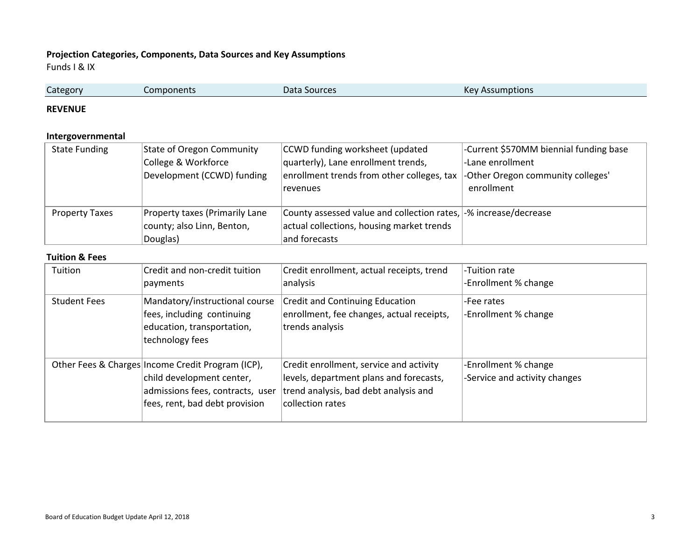## **Projection Categories, Components, Data Sources and Key Assumptions**

Funds I & IX

| Components | Data Sources | <b>Key Assumptions</b> |
|------------|--------------|------------------------|

#### **REVENUE**

## **Intergovernmental**

| <b>State Funding</b>  | <b>State of Oregon Community</b> | CCWD funding worksheet (updated                                  | -Current \$570MM biennial funding base |
|-----------------------|----------------------------------|------------------------------------------------------------------|----------------------------------------|
|                       | College & Workforce              | quarterly), Lane enrollment trends,                              | -Lane enrollment                       |
|                       | Development (CCWD) funding       | enrollment trends from other colleges, tax                       | -Other Oregon community colleges'      |
|                       |                                  | revenues                                                         | enrollment                             |
|                       |                                  |                                                                  |                                        |
| <b>Property Taxes</b> | Property taxes (Primarily Lane   | County assessed value and collection rates, -% increase/decrease |                                        |
|                       | county; also Linn, Benton,       | actual collections, housing market trends                        |                                        |
|                       | Douglas)                         | and forecasts                                                    |                                        |

#### **Tuition & Fees**

| Tuition             | Credit and non-credit tuition<br>payments                                                                                                            | Credit enrollment, actual receipts, trend<br>analysis                                                                                           | -Tuition rate<br>-Enrollment % change                 |
|---------------------|------------------------------------------------------------------------------------------------------------------------------------------------------|-------------------------------------------------------------------------------------------------------------------------------------------------|-------------------------------------------------------|
| <b>Student Fees</b> | Mandatory/instructional course<br>fees, including continuing<br>education, transportation,<br>technology fees                                        | <b>Credit and Continuing Education</b><br>enrollment, fee changes, actual receipts,<br>trends analysis                                          | -Fee rates<br>-Enrollment % change                    |
|                     | Other Fees & Charges Income Credit Program (ICP),<br>child development center,<br>admissions fees, contracts, user<br>fees, rent, bad debt provision | Credit enrollment, service and activity<br>levels, department plans and forecasts,<br>trend analysis, bad debt analysis and<br>collection rates | -Enrollment % change<br>-Service and activity changes |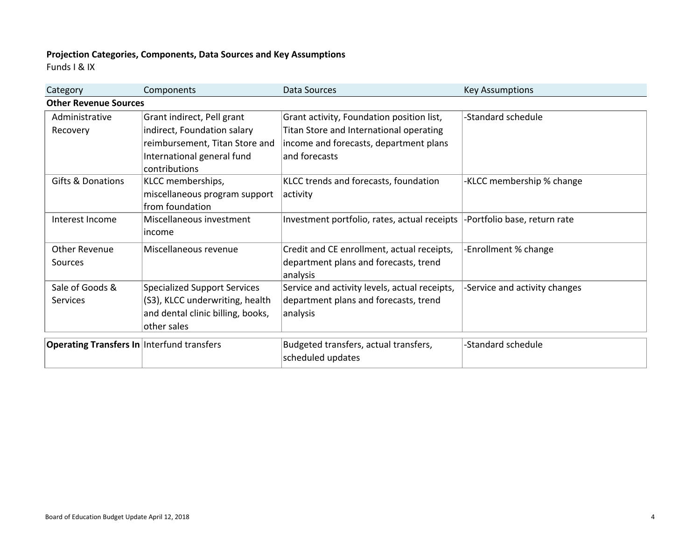# **Projection Categories, Components, Data Sources and Key Assumptions**

Funds I & IX

| Category                                          | Components                        | Data Sources                                                               | <b>Key Assumptions</b>        |
|---------------------------------------------------|-----------------------------------|----------------------------------------------------------------------------|-------------------------------|
| <b>Other Revenue Sources</b>                      |                                   |                                                                            |                               |
| Administrative                                    | Grant indirect, Pell grant        | Grant activity, Foundation position list,                                  | -Standard schedule            |
| Recovery                                          | indirect, Foundation salary       | Titan Store and International operating                                    |                               |
|                                                   | reimbursement, Titan Store and    | income and forecasts, department plans                                     |                               |
|                                                   | International general fund        | and forecasts                                                              |                               |
|                                                   | contributions                     |                                                                            |                               |
| <b>Gifts &amp; Donations</b>                      | KLCC memberships,                 | KLCC trends and forecasts, foundation                                      | -KLCC membership % change     |
|                                                   | miscellaneous program support     | activity                                                                   |                               |
|                                                   | from foundation                   |                                                                            |                               |
| Interest Income                                   | Miscellaneous investment          | Investment portfolio, rates, actual receipts  -Portfolio base, return rate |                               |
|                                                   | lincome                           |                                                                            |                               |
| <b>Other Revenue</b>                              | Miscellaneous revenue             | Credit and CE enrollment, actual receipts,                                 | -Enrollment % change          |
| Sources                                           |                                   | department plans and forecasts, trend                                      |                               |
|                                                   |                                   | analysis                                                                   |                               |
| Sale of Goods &                                   | Specialized Support Services      | Service and activity levels, actual receipts,                              | -Service and activity changes |
| <b>Services</b>                                   | (S3), KLCC underwriting, health   | department plans and forecasts, trend                                      |                               |
|                                                   | and dental clinic billing, books, | analysis                                                                   |                               |
|                                                   | other sales                       |                                                                            |                               |
| <b>Operating Transfers In Interfund transfers</b> |                                   | Budgeted transfers, actual transfers,                                      | -Standard schedule            |
|                                                   |                                   | scheduled updates                                                          |                               |
|                                                   |                                   |                                                                            |                               |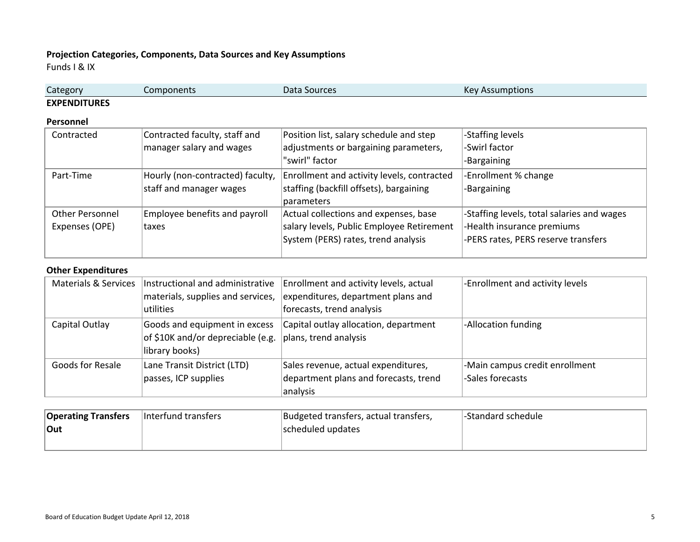# **Projection Categories, Components, Data Sources and Key Assumptions**

Funds I & IX

| Category            | Components | Data<br>Sources | $K_{\Omega}$<br>umptions<br>NE |
|---------------------|------------|-----------------|--------------------------------|
| <b>EXPENDITURES</b> |            |                 |                                |

#### **Personnel**

| Contracted      | Contracted faculty, staff and    | Position list, salary schedule and step    | -Staffing levels                           |
|-----------------|----------------------------------|--------------------------------------------|--------------------------------------------|
|                 | manager salary and wages         | adjustments or bargaining parameters,      | -Swirl factor                              |
|                 |                                  | "swirl" factor                             | -Bargaining                                |
| Part-Time       | Hourly (non-contracted) faculty, | Enrollment and activity levels, contracted | -Enrollment % change                       |
|                 | staff and manager wages          | staffing (backfill offsets), bargaining    | -Bargaining                                |
|                 |                                  | parameters                                 |                                            |
| Other Personnel | Employee benefits and payroll    | Actual collections and expenses, base      | -Staffing levels, total salaries and wages |
| Expenses (OPE)  | <b>taxes</b>                     | salary levels, Public Employee Retirement  | -Health insurance premiums                 |
|                 |                                  | System (PERS) rates, trend analysis        | -PERS rates, PERS reserve transfers        |
|                 |                                  |                                            |                                            |

#### **Other Expenditures**

|                  | Materials & Services   Instructional and administrative | Enrollment and activity levels, actual | -Enrollment and activity levels |
|------------------|---------------------------------------------------------|----------------------------------------|---------------------------------|
|                  | materials, supplies and services,                       | expenditures, department plans and     |                                 |
|                  | utilities                                               | forecasts, trend analysis              |                                 |
| Capital Outlay   | Goods and equipment in excess                           | Capital outlay allocation, department  | -Allocation funding             |
|                  | of \$10K and/or depreciable (e.g.                       | plans, trend analysis                  |                                 |
|                  | library books)                                          |                                        |                                 |
| Goods for Resale | Lane Transit District (LTD)                             | Sales revenue, actual expenditures,    | -Main campus credit enrollment  |
|                  | passes, ICP supplies                                    | department plans and forecasts, trend  | -Sales forecasts                |
|                  |                                                         | analysis                               |                                 |

| <b>Operating Transfers</b> | Interfund transfers | Budgeted transfers, actual transfers, | l-Standard schedule |
|----------------------------|---------------------|---------------------------------------|---------------------|
| Out                        |                     | scheduled updates                     |                     |
|                            |                     |                                       |                     |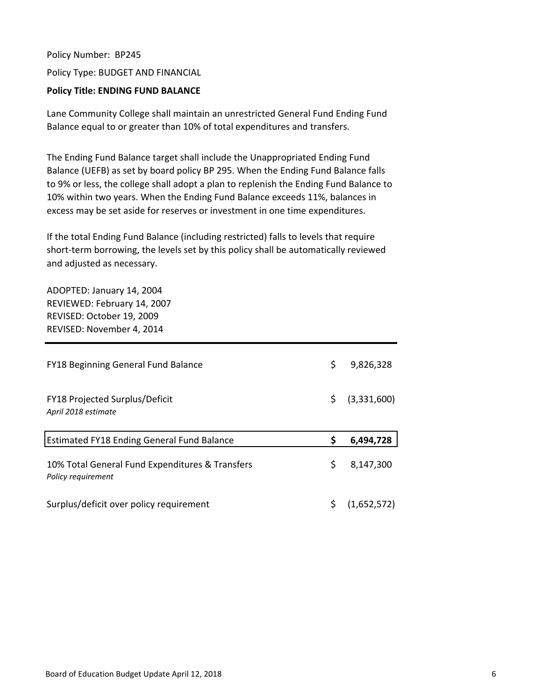Policy Number: BP245 Policy Type: BUDGET AND FINANCIAL

# **Policy Title: ENDING FUND BALANCE**

Lane Community College shall maintain an unrestricted General Fund Ending Fund Balance equal to or greater than 10% of total expenditures and transfers.

The Ending Fund Balance target shall include the Unappropriated Ending Fund Balance (UEFB) as set by board policy BP 295. When the Ending Fund Balance falls to 9% or less, the college shall adopt a plan to replenish the Ending Fund Balance to 10% within two years. When the Ending Fund Balance exceeds 11%, balances in excess may be set aside for reserves or investment in one time expenditures.

If the total Ending Fund Balance (including restricted) falls to levels that require short-term borrowing, the levels set by this policy shall be automatically reviewed and adjusted as necessary.

ADOPTED: January 14, 2004 REVIEWED: February 14, 2007 REVISED: October 19, 2009 REVISED: November 4, 2014

| <b>FY18 Beginning General Fund Balance</b>                            | \$  | 9,826,328   |
|-----------------------------------------------------------------------|-----|-------------|
|                                                                       |     |             |
| FY18 Projected Surplus/Deficit                                        | \$. | (3,331,600) |
| April 2018 estimate                                                   |     |             |
|                                                                       |     |             |
| <b>Estimated FY18 Ending General Fund Balance</b>                     |     | 6,494,728   |
|                                                                       |     |             |
| 10% Total General Fund Expenditures & Transfers<br>Policy requirement | \$  | 8,147,300   |
|                                                                       |     |             |
|                                                                       |     |             |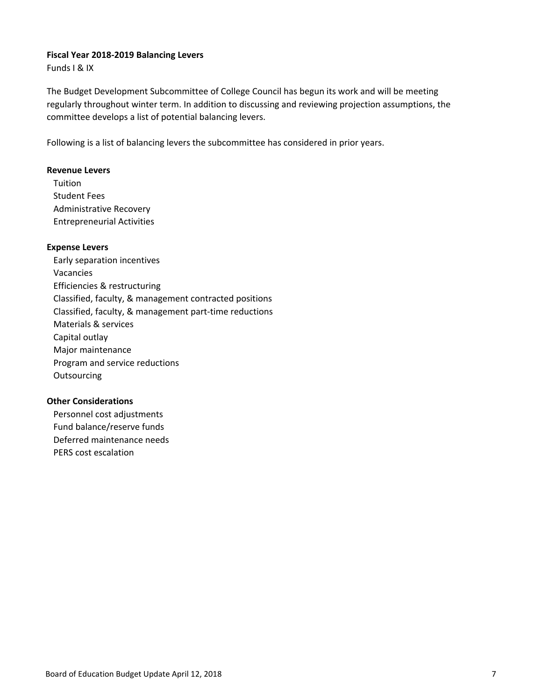#### **Fiscal Year 2018‐2019 Balancing Levers**

Funds I & IX

The Budget Development Subcommittee of College Council has begun its work and will be meeting regularly throughout winter term. In addition to discussing and reviewing projection assumptions, the committee develops a list of potential balancing levers.

Following is a list of balancing levers the subcommittee has considered in prior years.

## **Revenue Levers**

**Tuition** Student Fees Administrative Recovery Entrepreneurial Activities

## **Expense Levers**

Early separation incentives Vacancies Efficiencies & restructuring Classified, faculty, & management contracted positions Classified, faculty, & management part‐time reductions Materials & services Capital outlay Major maintenance Program and service reductions **Outsourcing** 

## **Other Considerations**

Personnel cost adjustments Fund balance/reserve funds Deferred maintenance needs PERS cost escalation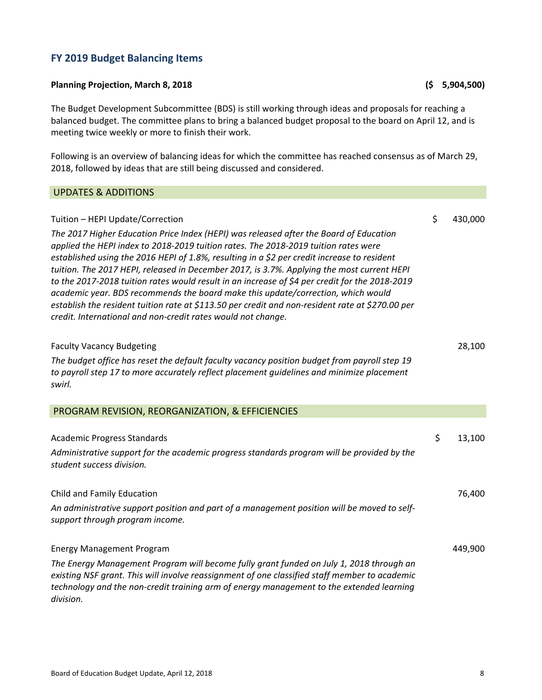# **FY 2019 Budget Balancing Items**

#### **Planning Projection, March 8, 2018 (\$ 5,904,500)**

The Budget Development Subcommittee (BDS) is still working through ideas and proposals for reaching a balanced budget. The committee plans to bring a balanced budget proposal to the board on April 12, and is meeting twice weekly or more to finish their work.

Following is an overview of balancing ideas for which the committee has reached consensus as of March 29, 2018, followed by ideas that are still being discussed and considered.

#### UPDATES & ADDITIONS

# Tuition – HEPI Update/Correction **by the contract of the contract of the contract of the contract of the contract of the contract of the contract of the contract of the contract of the contract of the contract of the contr** *The 2017 Higher Education Price Index (HEPI) was released after the Board of Education applied the HEPI index to 2018‐2019 tuition rates. The 2018‐2019 tuition rates were established using the 2016 HEPI of 1.8%, resulting in a \$2 per credit increase to resident tuition. The 2017 HEPI, released in December 2017, is 3.7%. Applying the most current HEPI* to the 2017-2018 tuition rates would result in an increase of \$4 per credit for the 2018-2019 *academic year. BDS recommends the board make this update/correction, which would establish the resident tuition rate at \$113.50 per credit and non‐resident rate at \$270.00 per credit. International and non‐credit rates would not change.* Faculty Vacancy Budgeting 28,100 *The budget office has reset the default faculty vacancy position budget from payroll step 19 to payroll step 17 to more accurately reflect placement guidelines and minimize placement swirl.* PROGRAM REVISION, REORGANIZATION, & EFFICIENCIES Academic Progress Standards \$ 13,100 *Administrative support for the academic progress standards program will be provided by the student success division.* Child and Family Education 76,400 *An administrative support position and part of a management position will be moved to self‐ support through program income.* Energy Management Program 449,900 *The Energy Management Program will become fully grant funded on July 1, 2018 through an existing NSF grant. This will involve reassignment of one classified staff member to academic technology and the non‐credit training arm of energy management to the extended learning division.*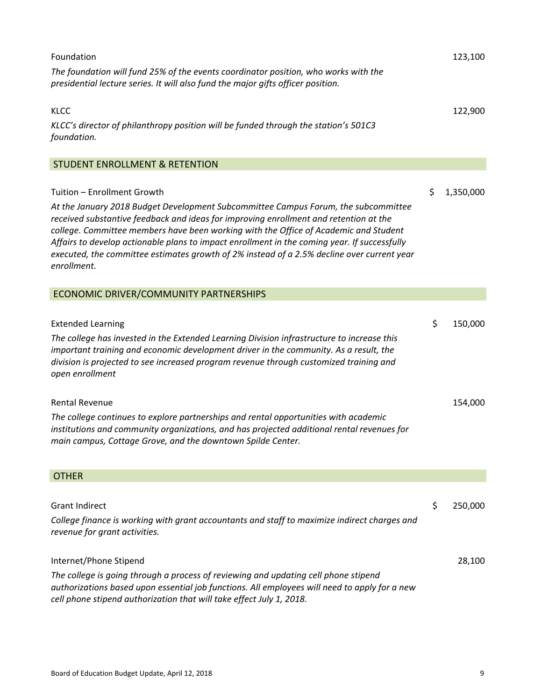| Foundation                                                                                                                                                                                                                                                                                                                                                                                                                                                                                                      | 123,100         |
|-----------------------------------------------------------------------------------------------------------------------------------------------------------------------------------------------------------------------------------------------------------------------------------------------------------------------------------------------------------------------------------------------------------------------------------------------------------------------------------------------------------------|-----------------|
| The foundation will fund 25% of the events coordinator position, who works with the<br>presidential lecture series. It will also fund the major gifts officer position.                                                                                                                                                                                                                                                                                                                                         |                 |
| <b>KLCC</b><br>KLCC's director of philanthropy position will be funded through the station's 501C3<br>foundation.                                                                                                                                                                                                                                                                                                                                                                                               | 122,900         |
| <b>STUDENT ENROLLMENT &amp; RETENTION</b>                                                                                                                                                                                                                                                                                                                                                                                                                                                                       |                 |
| Tuition - Enrollment Growth<br>At the January 2018 Budget Development Subcommittee Campus Forum, the subcommittee<br>received substantive feedback and ideas for improving enrollment and retention at the<br>college. Committee members have been working with the Office of Academic and Student<br>Affairs to develop actionable plans to impact enrollment in the coming year. If successfully<br>executed, the committee estimates growth of 2% instead of a 2.5% decline over current year<br>enrollment. | \$<br>1,350,000 |
| ECONOMIC DRIVER/COMMUNITY PARTNERSHIPS                                                                                                                                                                                                                                                                                                                                                                                                                                                                          |                 |
| <b>Extended Learning</b><br>The college has invested in the Extended Learning Division infrastructure to increase this<br>important training and economic development driver in the community. As a result, the<br>division is projected to see increased program revenue through customized training and<br>open enrollment                                                                                                                                                                                    | \$<br>150,000   |
| <b>Rental Revenue</b><br>The college continues to explore partnerships and rental opportunities with academic<br>institutions and community organizations, and has projected additional rental revenues for<br>main campus, Cottage Grove, and the downtown Spilde Center.                                                                                                                                                                                                                                      | 154,000         |
| <b>OTHER</b>                                                                                                                                                                                                                                                                                                                                                                                                                                                                                                    |                 |
| <b>Grant Indirect</b><br>College finance is working with grant accountants and staff to maximize indirect charges and<br>revenue for grant activities.                                                                                                                                                                                                                                                                                                                                                          | \$<br>250,000   |
| Internet/Phone Stipend<br>The college is going through a process of reviewing and updating cell phone stipend<br>authorizations based upon essential job functions. All employees will need to apply for a new<br>cell phone stipend authorization that will take effect July 1, 2018.                                                                                                                                                                                                                          | 28,100          |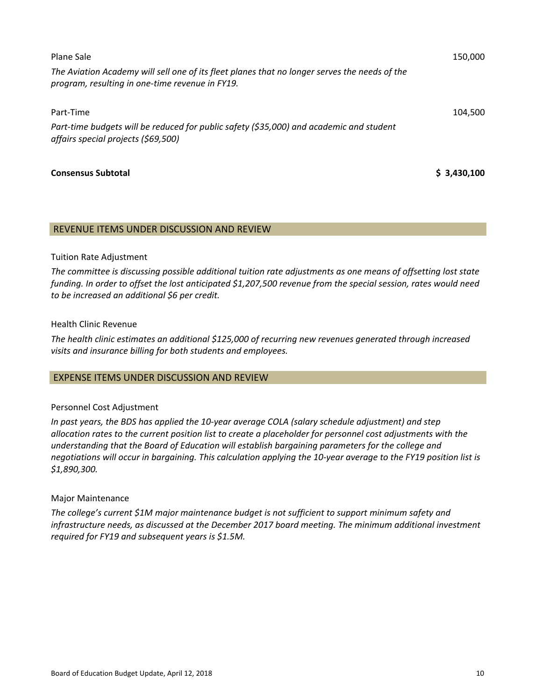| Plane Sale<br>The Aviation Academy will sell one of its fleet planes that no longer serves the needs of the                    | 150,000     |
|--------------------------------------------------------------------------------------------------------------------------------|-------------|
| program, resulting in one-time revenue in FY19.<br>Part-Time                                                                   | 104.500     |
| Part-time budgets will be reduced for public safety (\$35,000) and academic and student<br>affairs special projects (\$69,500) |             |
| <b>Consensus Subtotal</b>                                                                                                      | \$3,430,100 |

#### REVENUE ITEMS UNDER DISCUSSION AND REVIEW

#### Tuition Rate Adjustment

*The committee is discussing possible additional tuition rate adjustments as one means of offsetting lost state* funding. In order to offset the lost anticipated \$1,207,500 revenue from the special session, rates would need *to be increased an additional \$6 per credit.*

#### Health Clinic Revenue

*The health clinic estimates an additional \$125,000 of recurring new revenues generated through increased visits and insurance billing for both students and employees.*

#### EXPENSE ITEMS UNDER DISCUSSION AND REVIEW

## Personnel Cost Adjustment

*In past years, the BDS has applied the 10‐year average COLA (salary schedule adjustment) and step* allocation rates to the current position list to create a placeholder for personnel cost adjustments with the *understanding that the Board of Education will establish bargaining parameters for the college and* negotiations will occur in bargaining. This calculation applying the 10-year average to the FY19 position list is *\$1,890,300.*

## Major Maintenance

*The college's current \$1M major maintenance budget is not sufficient to support minimum safety and infrastructure needs, as discussed at the December 2017 board meeting. The minimum additional investment required for FY19 and subsequent years is \$1.5M.*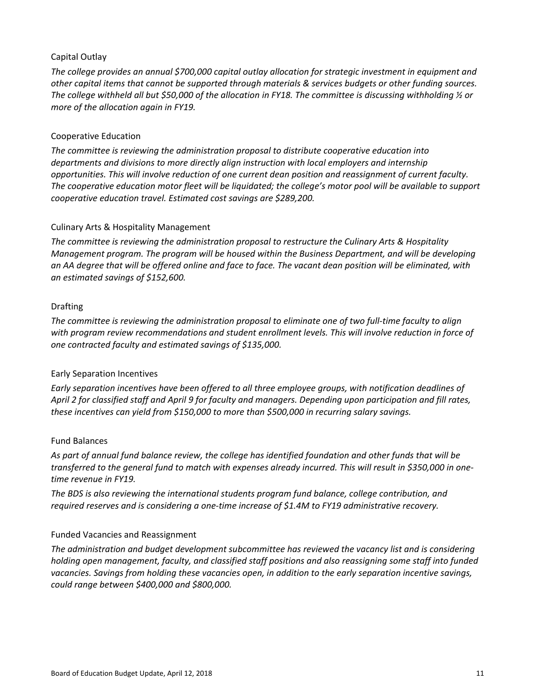## Capital Outlay

*The college provides an annual \$700,000 capital outlay allocation for strategic investment in equipment and other capital items that cannot be supported through materials & services budgets or other funding sources.* The college withheld all but \$50,000 of the allocation in FY18. The committee is discussing withholding  $\frac{1}{2}$  or *more of the allocation again in FY19.*

## Cooperative Education

*The committee is reviewing the administration proposal to distribute cooperative education into departments and divisions to more directly align instruction with local employers and internship opportunities. This will involve reduction of one current dean position and reassignment of current faculty.* The cooperative education motor fleet will be liquidated; the college's motor pool will be available to support *cooperative education travel. Estimated cost savings are \$289,200.*

## Culinary Arts & Hospitality Management

*The committee is reviewing the administration proposal to restructure the Culinary Arts & Hospitality Management program. The program will be housed within the Business Department, and will be developing* an AA degree that will be offered online and face to face. The vacant dean position will be eliminated, with *an estimated savings of \$152,600.*

## Drafting

The committee is reviewing the administration proposal to eliminate one of two full-time faculty to align *with program review recommendations and student enrollment levels. This will involve reduction in force of one contracted faculty and estimated savings of \$135,000.*

## Early Separation Incentives

*Early separation incentives have been offered to all three employee groups, with notification deadlines of* April 2 for classified staff and April 9 for faculty and managers. Depending upon participation and fill rates, *these incentives can yield from \$150,000 to more than \$500,000 in recurring salary savings.* 

## Fund Balances

As part of annual fund balance review, the college has identified foundation and other funds that will be transferred to the general fund to match with expenses already incurred. This will result in \$350,000 in one*time revenue in FY19.* 

*The BDS is also reviewing the international students program fund balance, college contribution, and required reserves and is considering a one‐time increase of \$1.4M to FY19 administrative recovery.*

## Funded Vacancies and Reassignment

*The administration and budget development subcommittee has reviewed the vacancy list and is considering holding open management, faculty, and classified staff positions and also reassigning some staff into funded vacancies. Savings from holding these vacancies open, in addition to the early separation incentive savings, could range between \$400,000 and \$800,000.*